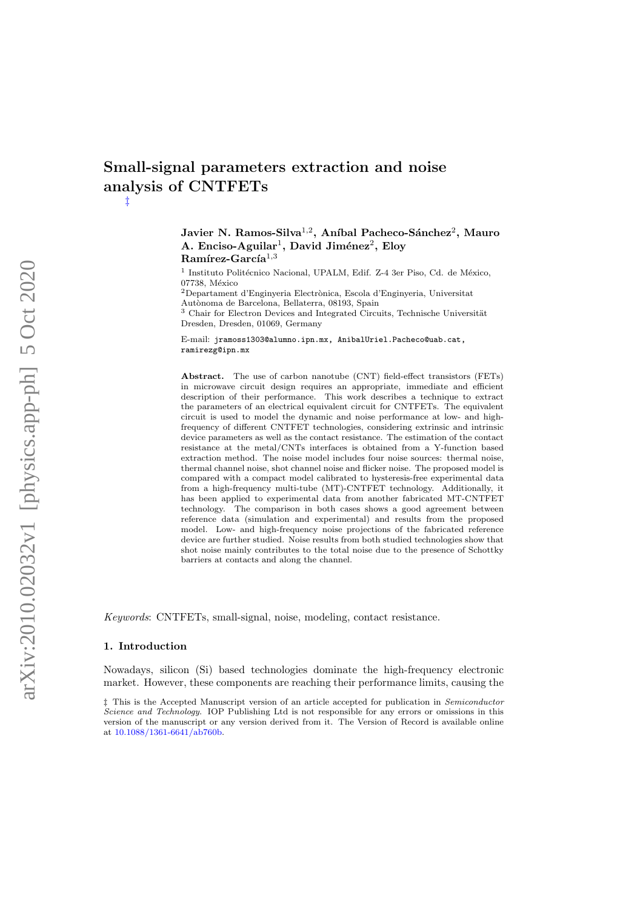# Small-signal parameters extraction and noise analysis of CNTFETs [‡](#page-0-0)

# Javier N. Ramos-Silva<sup>1,2</sup>, Aníbal Pacheco-Sánchez<sup>2</sup>, Mauro A. Enciso-Aguilar<sup>1</sup>, David Jiménez<sup>2</sup>, Eloy  $\bf{Ram\'{r}ez-Garc\'ia}^{1,3}$

<sup>1</sup> Instituto Politécnico Nacional, UPALM, Edif. Z-4 3er Piso, Cd. de México, 07738, México

 $2$ Departament d'Enginyeria Electrònica, Escola d'Enginyeria, Universitat Autònoma de Barcelona, Bellaterra, 08193, Spain

 $3$  Chair for Electron Devices and Integrated Circuits, Technische Universität Dresden, Dresden, 01069, Germany

E-mail: jramoss1303@alumno.ipn.mx, AnibalUriel.Pacheco@uab.cat, ramirezg@ipn.mx

Abstract. The use of carbon nanotube (CNT) field-effect transistors (FETs) in microwave circuit design requires an appropriate, immediate and efficient description of their performance. This work describes a technique to extract the parameters of an electrical equivalent circuit for CNTFETs. The equivalent circuit is used to model the dynamic and noise performance at low- and highfrequency of different CNTFET technologies, considering extrinsic and intrinsic device parameters as well as the contact resistance. The estimation of the contact resistance at the metal/CNTs interfaces is obtained from a Y-function based extraction method. The noise model includes four noise sources: thermal noise, thermal channel noise, shot channel noise and flicker noise. The proposed model is compared with a compact model calibrated to hysteresis-free experimental data from a high-frequency multi-tube (MT)-CNTFET technology. Additionally, it has been applied to experimental data from another fabricated MT-CNTFET technology. The comparison in both cases shows a good agreement between reference data (simulation and experimental) and results from the proposed model. Low- and high-frequency noise projections of the fabricated reference device are further studied. Noise results from both studied technologies show that shot noise mainly contributes to the total noise due to the presence of Schottky barriers at contacts and along the channel.

Keywords: CNTFETs, small-signal, noise, modeling, contact resistance.

#### 1. Introduction

Nowadays, silicon (Si) based technologies dominate the high-frequency electronic market. However, these components are reaching their performance limits, causing the

<span id="page-0-0"></span>‡ This is the Accepted Manuscript version of an article accepted for publication in Semiconductor Science and Technology. IOP Publishing Ltd is not responsible for any errors or omissions in this version of the manuscript or any version derived from it. The Version of Record is available online at [10.1088/1361-6641/ab760b.](https://iopscience.iop.org/article/10.1088/1361-6641/ab760b)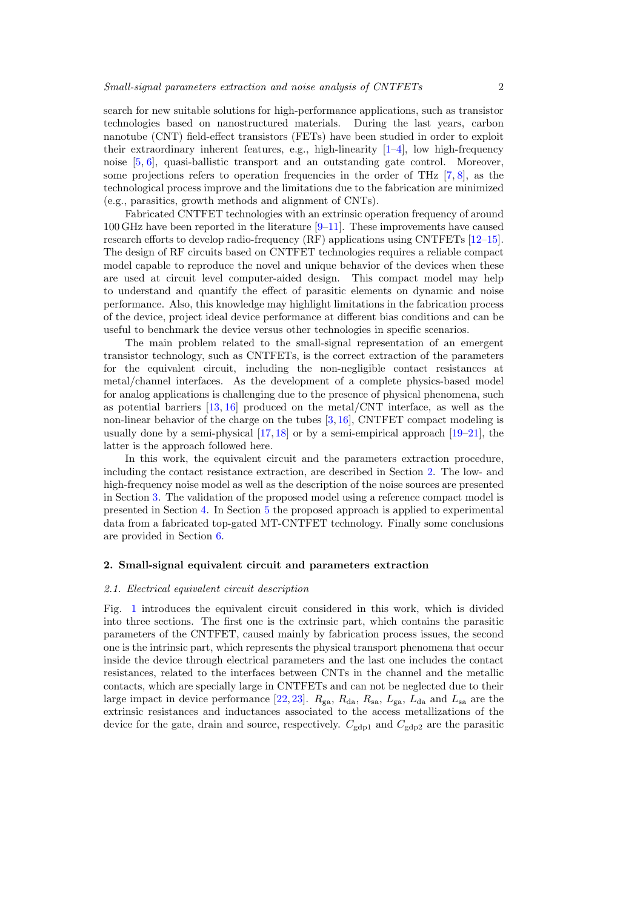search for new suitable solutions for high-performance applications, such as transistor technologies based on nanostructured materials. During the last years, carbon nanotube (CNT) field-effect transistors (FETs) have been studied in order to exploit their extraordinary inherent features, e.g., high-linearity [\[1–](#page-14-0)[4\]](#page-14-1), low high-frequency noise [\[5,](#page-14-2) [6\]](#page-14-3), quasi-ballistic transport and an outstanding gate control. Moreover, some projections refers to operation frequencies in the order of THz [\[7,](#page-14-4) [8\]](#page-14-5), as the technological process improve and the limitations due to the fabrication are minimized (e.g., parasitics, growth methods and alignment of CNTs).

Fabricated CNTFET technologies with an extrinsic operation frequency of around 100 GHz have been reported in the literature [\[9–](#page-14-6)[11\]](#page-14-7). These improvements have caused research efforts to develop radio-frequency (RF) applications using CNTFETs [\[12–](#page-14-8)[15\]](#page-14-9). The design of RF circuits based on CNTFET technologies requires a reliable compact model capable to reproduce the novel and unique behavior of the devices when these are used at circuit level computer-aided design. This compact model may help to understand and quantify the effect of parasitic elements on dynamic and noise performance. Also, this knowledge may highlight limitations in the fabrication process of the device, project ideal device performance at different bias conditions and can be useful to benchmark the device versus other technologies in specific scenarios.

The main problem related to the small-signal representation of an emergent transistor technology, such as CNTFETs, is the correct extraction of the parameters for the equivalent circuit, including the non-negligible contact resistances at metal/channel interfaces. As the development of a complete physics-based model for analog applications is challenging due to the presence of physical phenomena, such as potential barriers  $[13, 16]$  $[13, 16]$  $[13, 16]$  produced on the metal/CNT interface, as well as the non-linear behavior of the charge on the tubes [\[3,](#page-14-12) [16\]](#page-14-11), CNTFET compact modeling is usually done by a semi-physical  $[17, 18]$  $[17, 18]$  $[17, 18]$  or by a semi-empirical approach  $[19-21]$  $[19-21]$ , the latter is the approach followed here.

In this work, the equivalent circuit and the parameters extraction procedure, including the contact resistance extraction, are described in Section [2.](#page-1-0) The low- and high-frequency noise model as well as the description of the noise sources are presented in Section [3.](#page-5-0) The validation of the proposed model using a reference compact model is presented in Section [4.](#page-7-0) In Section [5](#page-10-0) the proposed approach is applied to experimental data from a fabricated top-gated MT-CNTFET technology. Finally some conclusions are provided in Section [6.](#page-12-0)

# <span id="page-1-0"></span>2. Small-signal equivalent circuit and parameters extraction

# 2.1. Electrical equivalent circuit description

Fig. [1](#page-2-0) introduces the equivalent circuit considered in this work, which is divided into three sections. The first one is the extrinsic part, which contains the parasitic parameters of the CNTFET, caused mainly by fabrication process issues, the second one is the intrinsic part, which represents the physical transport phenomena that occur inside the device through electrical parameters and the last one includes the contact resistances, related to the interfaces between CNTs in the channel and the metallic contacts, which are specially large in CNTFETs and can not be neglected due to their large impact in device performance [\[22,](#page-15-1) [23\]](#page-15-2).  $R_{\rm ga}$ ,  $R_{\rm da}$ ,  $R_{\rm sa}$ ,  $L_{\rm ga}$ ,  $L_{\rm da}$  and  $L_{\rm sa}$  are the extrinsic resistances and inductances associated to the access metallizations of the device for the gate, drain and source, respectively.  $C_{\text{gdp1}}$  and  $C_{\text{gdp2}}$  are the parasitic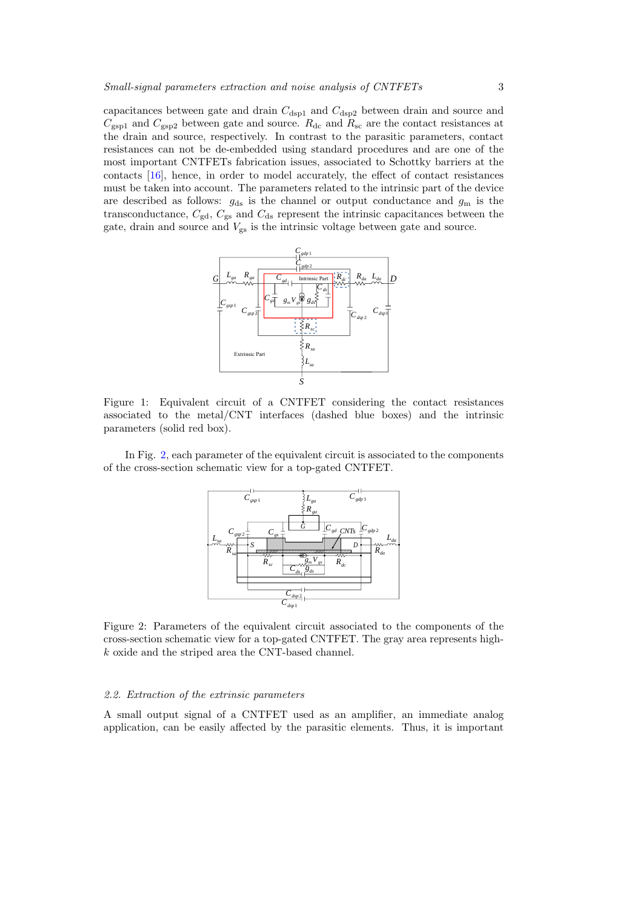capacitances between gate and drain  $C_{\text{dsp1}}$  and  $C_{\text{dsp2}}$  between drain and source and  $C_{\text{gsp1}}$  and  $C_{\text{gsp2}}$  between gate and source.  $R_{\text{dc}}$  and  $R_{\text{sc}}$  are the contact resistances at the drain and source, respectively. In contrast to the parasitic parameters, contact resistances can not be de-embedded using standard procedures and are one of the most important CNTFETs fabrication issues, associated to Schottky barriers at the contacts [\[16\]](#page-14-11), hence, in order to model accurately, the effect of contact resistances must be taken into account. The parameters related to the intrinsic part of the device are described as follows:  $g_{ds}$  is the channel or output conductance and  $g_m$  is the transconductance,  $C_{\text{gd}}$ ,  $C_{\text{gs}}$  and  $C_{\text{ds}}$  represent the intrinsic capacitances between the gate, drain and source and  $V_{\rm gs}$  is the intrinsic voltage between gate and source.

<span id="page-2-0"></span>

Figure 1: Equivalent circuit of a CNTFET considering the contact resistances associated to the metal/CNT interfaces (dashed blue boxes) and the intrinsic parameters (solid red box).

<span id="page-2-1"></span>In Fig. [2,](#page-2-1) each parameter of the equivalent circuit is associated to the components of the cross-section schematic view for a top-gated CNTFET.



Figure 2: Parameters of the equivalent circuit associated to the components of the cross-section schematic view for a top-gated CNTFET. The gray area represents highk oxide and the striped area the CNT-based channel.

## 2.2. Extraction of the extrinsic parameters

A small output signal of a CNTFET used as an amplifier, an immediate analog application, can be easily affected by the parasitic elements. Thus, it is important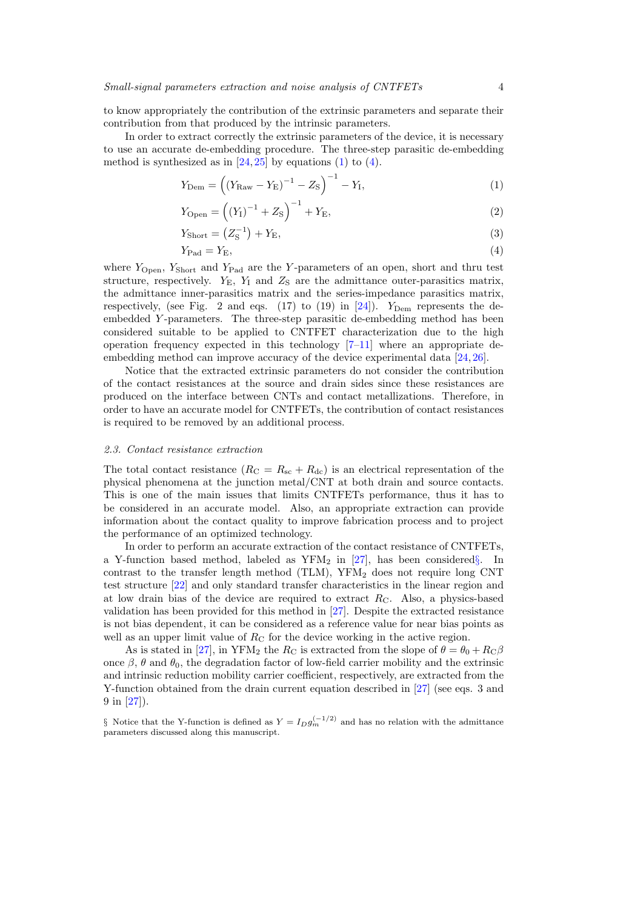to know appropriately the contribution of the extrinsic parameters and separate their contribution from that produced by the intrinsic parameters.

In order to extract correctly the extrinsic parameters of the device, it is necessary to use an accurate de-embedding procedure. The three-step parasitic de-embedding method is synthesized as in  $[24, 25]$  $[24, 25]$  $[24, 25]$  by equations [\(1\)](#page-3-0) to [\(4\)](#page-3-1).

<span id="page-3-0"></span>
$$
Y_{\text{Dem}} = \left( \left( Y_{\text{Raw}} - Y_{\text{E}} \right)^{-1} - Z_{\text{S}} \right)^{-1} - Y_{\text{I}},\tag{1}
$$

$$
Y_{\text{Open}} = ((Y_{\text{I}})^{-1} + Z_{\text{S}})^{-1} + Y_{\text{E}},
$$
\n(2)

$$
Y_{\text{Short}} = \left(Z_{\text{S}}^{-1}\right) + Y_{\text{E}},\tag{3}
$$

<span id="page-3-1"></span>
$$
Y_{\rm Pad} = Y_{\rm E},\tag{4}
$$

where  $Y_{\text{Open}}$ ,  $Y_{\text{Short}}$  and  $Y_{\text{Pad}}$  are the Y-parameters of an open, short and thru test structure, respectively.  $Y_{\rm E}$ ,  $Y_{\rm I}$  and  $Z_{\rm S}$  are the admittance outer-parasitics matrix, the admittance inner-parasitics matrix and the series-impedance parasitics matrix, respectively, (see Fig. 2 and eqs.  $(17)$  to  $(19)$  in  $[24]$ ).  $Y_{\text{Dem}}$  represents the deembedded Y -parameters. The three-step parasitic de-embedding method has been considered suitable to be applied to CNTFET characterization due to the high operation frequency expected in this technology  $[7-11]$  $[7-11]$  where an appropriate deembedding method can improve accuracy of the device experimental data [\[24,](#page-15-3) [26\]](#page-15-5).

Notice that the extracted extrinsic parameters do not consider the contribution of the contact resistances at the source and drain sides since these resistances are produced on the interface between CNTs and contact metallizations. Therefore, in order to have an accurate model for CNTFETs, the contribution of contact resistances is required to be removed by an additional process.

#### 2.3. Contact resistance extraction

The total contact resistance  $(R_{\rm C} = R_{\rm sc} + R_{\rm dc})$  is an electrical representation of the physical phenomena at the junction metal/CNT at both drain and source contacts. This is one of the main issues that limits CNTFETs performance, thus it has to be considered in an accurate model. Also, an appropriate extraction can provide information about the contact quality to improve fabrication process and to project the performance of an optimized technology.

In order to perform an accurate extraction of the contact resistance of CNTFETs, a Y-function based method, labeled as YFM<sub>2</sub> in [\[27\]](#page-15-6), has been considered [§](#page-3-2). In contrast to the transfer length method (TLM),  $YFM<sub>2</sub>$  does not require long CNT test structure [\[22\]](#page-15-1) and only standard transfer characteristics in the linear region and at low drain bias of the device are required to extract  $R<sub>C</sub>$ . Also, a physics-based validation has been provided for this method in [\[27\]](#page-15-6). Despite the extracted resistance is not bias dependent, it can be considered as a reference value for near bias points as well as an upper limit value of  $R<sub>C</sub>$  for the device working in the active region.

As is stated in [\[27\]](#page-15-6), in YFM<sub>2</sub> the  $R_C$  is extracted from the slope of  $\theta = \theta_0 + R_C\beta$ once  $\beta$ ,  $\theta$  and  $\theta_0$ , the degradation factor of low-field carrier mobility and the extrinsic and intrinsic reduction mobility carrier coefficient, respectively, are extracted from the Y-function obtained from the drain current equation described in [\[27\]](#page-15-6) (see eqs. 3 and 9 in [\[27\]](#page-15-6)).

<span id="page-3-2"></span><sup>§</sup> Notice that the Y-function is defined as  $Y = I_D g_m^{(-1/2)}$  and has no relation with the admittance parameters discussed along this manuscript.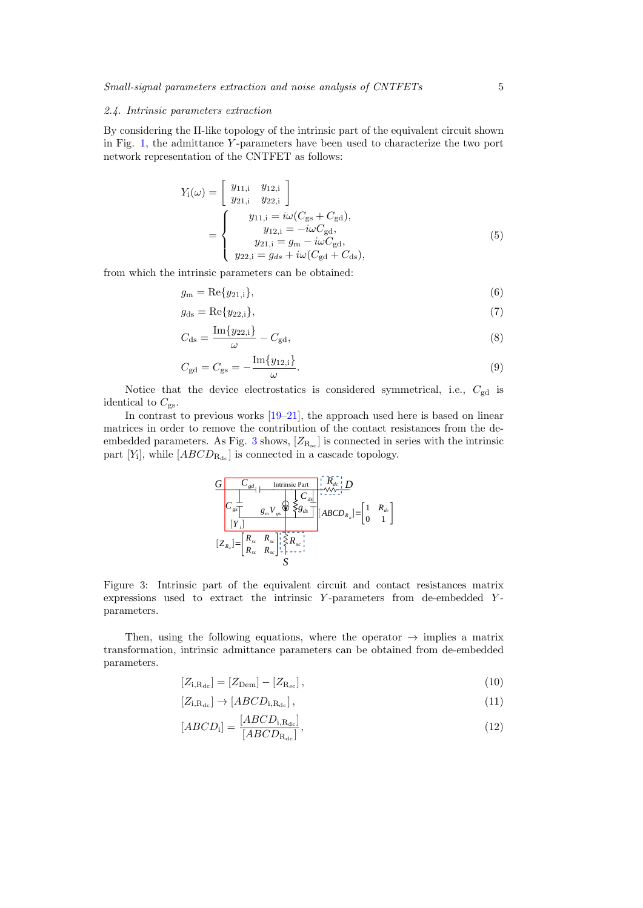### <span id="page-4-3"></span>2.4. Intrinsic parameters extraction

By considering the Π-like topology of the intrinsic part of the equivalent circuit shown in Fig. [1,](#page-2-0) the admittance Y -parameters have been used to characterize the two port network representation of the CNTFET as follows:

$$
Y_{i}(\omega) = \begin{bmatrix} y_{11,i} & y_{12,i} \\ y_{21,i} & y_{22,i} \end{bmatrix}
$$
  
= 
$$
\begin{cases} y_{11,i} = i\omega(C_{gs} + C_{gd}), \\ y_{12,i} = -i\omega C_{gd}, \\ y_{21,i} = g_{m} - i\omega C_{gd}, \\ y_{22,i} = g_{ds} + i\omega(C_{gd} + C_{ds}), \end{cases}
$$
 (5)

from which the intrinsic parameters can be obtained:

<span id="page-4-1"></span>
$$
g_{\mathbf{m}} = \text{Re}\{y_{21,i}\},\tag{6}
$$

<span id="page-4-4"></span>
$$
g_{\text{ds}} = \text{Re}\{y_{22,i}\},\tag{7}
$$

$$
C_{\rm ds} = \frac{\operatorname{Im}\{y_{22,i}\}}{\omega} - C_{\rm gd},\tag{8}
$$

<span id="page-4-2"></span>
$$
C_{\rm gd} = C_{\rm gs} = -\frac{\text{Im}\{y_{12,i}\}}{\omega}.
$$
\n(9)

Notice that the device electrostatics is considered symmetrical, i.e.,  $C_{gd}$  is identical to  $C_{\text{gs}}$ .

<span id="page-4-0"></span>In contrast to previous works [\[19–](#page-14-15)[21\]](#page-15-0), the approach used here is based on linear matrices in order to remove the contribution of the contact resistances from the de-embedded parameters. As Fig. [3](#page-4-0) shows,  $[Z_{R_{sc}}]$  is connected in series with the intrinsic part  $[Y_i]$ , while  $[ABCD_{R_{dc}}]$  is connected in a cascade topology.

$$
\frac{G}{C_{gs}} \frac{C_{gd}}{\left|\begin{array}{cc} \frac{1}{\sqrt{N_{gs}}}\left|\begin{array}{c} \frac{1}{\sqrt{N_{gs}}}\left|\begin{array}{c} \frac{1}{\sqrt{N_{gs}}}\left|\begin{array}{c} \frac{1}{\sqrt{N_{gs}}}\left|\begin{array}{c} \frac{1}{\sqrt{N_{gs}}}\left|\begin{array}{c} \frac{1}{\sqrt{N_{gs}}}\left|\begin{array}{c} \frac{1}{\sqrt{N_{gs}}}\left|\begin{array}{c} \frac{1}{\sqrt{N_{gs}}}\left|\begin{array}{c} \frac{1}{\sqrt{N_{gs}}}\left|\begin{array}{c} \frac{1}{\sqrt{N_{gs}}}\left|\begin{array}{c} \frac{1}{\sqrt{N_{gs}}}\left|\begin{array}{c} \frac{1}{\sqrt{N_{gs}}}\left|\begin{array}{c} \frac{1}{\sqrt{N_{gs}}}\left|\begin{array}{c} \frac{1}{\sqrt{N_{gs}}}\left|\begin{array}{c} \frac{1}{\sqrt{N_{gs}}}\left|\begin{array}{c} \frac{1}{\sqrt{N_{gs}}}\left|\begin{array}{c} \frac{1}{\sqrt{N_{gs}}}\left|\begin{array}{c} \frac{1}{\sqrt{N_{gs}}}\left|\begin{array}{c} \frac{1}{\sqrt{N_{gs}}}\left|\begin{array}{c} \frac{1}{\sqrt{N_{gs}}}\left|\begin{array}{c} \frac{1}{\sqrt{N_{gs}}}\left|\begin{array}{c} \frac{1}{\sqrt{N_{gs}}}\left|\begin{array}{c} \frac{1}{\sqrt{N_{gs}}}\left|\begin{array}{c} \frac{1}{\sqrt{N_{gs}}}\left|\begin{array}{c} \frac{1}{\sqrt{N_{gs}}}\left|\begin{array}{c} \frac{1}{\sqrt{N_{gs}}}\left|\begin{array}{c} \frac{1}{\sqrt{N_{gs}}}\left|\begin{array}{c} \frac{1}{\sqrt{N_{gs}}}\left|\begin{array}{c} \frac{1}{\sqrt{N_{gs}}}\left|\begin{array}{c} \frac{1}{\sqrt{N_{gs}}}\left|\begin{array}{c} \frac{1}{\sqrt{N_{gs}}}\left|\begin{array}{c} \frac{1}{\sqrt{N_{gs}}}\left|\begin{array}{c} \frac{1}{\sqrt{N_{gs}}}\left|\begin{array}{c} \frac{1}{\sqrt{N_{gs}}}\left|\begin{array}{c} \frac{1}{\sqrt{N_{gs}}}\left|\begin{array}{c}
$$

Figure 3: Intrinsic part of the equivalent circuit and contact resistances matrix expressions used to extract the intrinsic Y-parameters from de-embedded Yparameters.

Then, using the following equations, where the operator  $\rightarrow$  implies a matrix transformation, intrinsic admittance parameters can be obtained from de-embedded parameters.

$$
[Z_{i,R_{dc}}] = [Z_{Dem}] - [Z_{R_{sc}}],
$$
\n(10)

$$
[Z_{i,R_{dc}}] \to [ABCD_{i,R_{dc}}],\tag{11}
$$

$$
[ABCD_i] = \frac{[ABCD_{i,R_{\rm dc}}]}{[ABCD_{R_{\rm dc}}]},\tag{12}
$$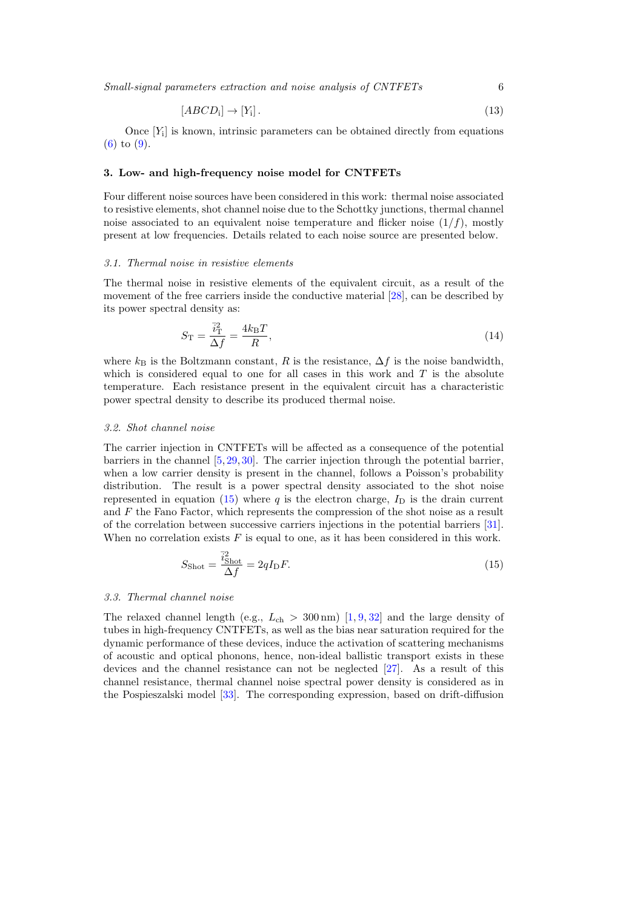Small-signal parameters extraction and noise analysis of CNTFETs 6

$$
[ABCD_i] \to [Y_i]. \tag{13}
$$

Once  $[Y_i]$  is known, intrinsic parameters can be obtained directly from equations [\(6\)](#page-4-1) to [\(9\)](#page-4-2).

# <span id="page-5-0"></span>3. Low- and high-frequency noise model for CNTFETs

Four different noise sources have been considered in this work: thermal noise associated to resistive elements, shot channel noise due to the Schottky junctions, thermal channel noise associated to an equivalent noise temperature and flicker noise  $(1/f)$ , mostly present at low frequencies. Details related to each noise source are presented below.

### 3.1. Thermal noise in resistive elements

The thermal noise in resistive elements of the equivalent circuit, as a result of the movement of the free carriers inside the conductive material [\[28\]](#page-15-7), can be described by its power spectral density as:

$$
S_{\rm T} = \frac{\bar{i}_{\rm T}^2}{\Delta f} = \frac{4k_{\rm B}T}{R},\tag{14}
$$

where  $k_B$  is the Boltzmann constant, R is the resistance,  $\Delta f$  is the noise bandwidth, which is considered equal to one for all cases in this work and  $T$  is the absolute temperature. Each resistance present in the equivalent circuit has a characteristic power spectral density to describe its produced thermal noise.

## 3.2. Shot channel noise

The carrier injection in CNTFETs will be affected as a consequence of the potential barriers in the channel  $[5, 29, 30]$  $[5, 29, 30]$  $[5, 29, 30]$  $[5, 29, 30]$  $[5, 29, 30]$ . The carrier injection through the potential barrier, when a low carrier density is present in the channel, follows a Poisson's probability distribution. The result is a power spectral density associated to the shot noise represented in equation [\(15\)](#page-5-1) where q is the electron charge,  $I<sub>D</sub>$  is the drain current and  $F$  the Fano Factor, which represents the compression of the shot noise as a result of the correlation between successive carriers injections in the potential barriers [\[31\]](#page-15-10). When no correlation exists  $F$  is equal to one, as it has been considered in this work.

<span id="page-5-1"></span>
$$
S_{\text{shot}} = \frac{\vec{i}_{\text{shot}}^2}{\Delta f} = 2qI_{\text{D}}F. \tag{15}
$$

## 3.3. Thermal channel noise

The relaxed channel length (e.g.,  $L_{ch} > 300 \,\text{nm}$ ) [\[1,](#page-14-0) [9,](#page-14-6) [32\]](#page-15-11) and the large density of tubes in high-frequency CNTFETs, as well as the bias near saturation required for the dynamic performance of these devices, induce the activation of scattering mechanisms of acoustic and optical phonons, hence, non-ideal ballistic transport exists in these devices and the channel resistance can not be neglected [\[27\]](#page-15-6). As a result of this channel resistance, thermal channel noise spectral power density is considered as in the Pospieszalski model [\[33\]](#page-15-12). The corresponding expression, based on drift-diffusion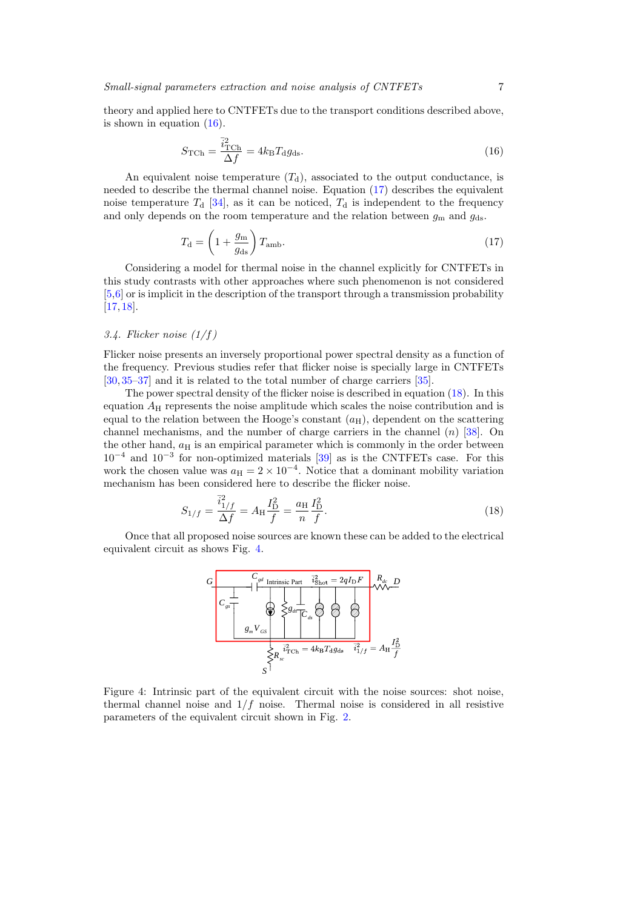theory and applied here to CNTFETs due to the transport conditions described above, is shown in equation [\(16\)](#page-6-0).

<span id="page-6-0"></span>
$$
S_{\rm TCh} = \frac{\bar{i}_{\rm TCh}^2}{\Delta f} = 4k_{\rm B}T_{\rm d}g_{\rm ds}.
$$
\n(16)

An equivalent noise temperature  $(T_d)$ , associated to the output conductance, is needed to describe the thermal channel noise. Equation [\(17\)](#page-6-1) describes the equivalent noise temperature  $T<sub>d</sub>$  [\[34\]](#page-15-13), as it can be noticed,  $T<sub>d</sub>$  is independent to the frequency and only depends on the room temperature and the relation between  $g<sub>m</sub>$  and  $g<sub>ds</sub>$ .

<span id="page-6-1"></span>
$$
T_{\rm d} = \left(1 + \frac{g_{\rm m}}{g_{\rm ds}}\right) T_{\rm amb}.\tag{17}
$$

Considering a model for thermal noise in the channel explicitly for CNTFETs in this study contrasts with other approaches where such phenomenon is not considered  $[5,6]$  $[5,6]$  or is implicit in the description of the transport through a transmission probability [\[17,](#page-14-13) [18\]](#page-14-14).

# 3.4. Flicker noise  $(1/f)$

Flicker noise presents an inversely proportional power spectral density as a function of the frequency. Previous studies refer that flicker noise is specially large in CNTFETs [\[30,](#page-15-9) [35–](#page-15-14)[37\]](#page-15-15) and it is related to the total number of charge carriers [\[35\]](#page-15-14).

The power spectral density of the flicker noise is described in equation [\(18\)](#page-6-2). In this equation  $A_H$  represents the noise amplitude which scales the noise contribution and is equal to the relation between the Hooge's constant  $(a_H)$ , dependent on the scattering channel mechanisms, and the number of charge carriers in the channel  $(n)$  [\[38\]](#page-15-16). On the other hand,  $a_H$  is an empirical parameter which is commonly in the order between  $10^{-4}$  and  $10^{-3}$  for non-optimized materials [\[39\]](#page-15-17) as is the CNTFETs case. For this work the chosen value was  $a_H = 2 \times 10^{-4}$ . Notice that a dominant mobility variation mechanism has been considered here to describe the flicker noise.

<span id="page-6-2"></span>
$$
S_{1/f} = \frac{\bar{i}_{1/f}^2}{\Delta f} = A_{\rm H} \frac{I_{\rm D}^2}{f} = \frac{a_{\rm H}}{n} \frac{I_{\rm D}^2}{f}.
$$
\n(18)

<span id="page-6-3"></span>Once that all proposed noise sources are known these can be added to the electrical equivalent circuit as shows Fig. [4.](#page-6-3)



Figure 4: Intrinsic part of the equivalent circuit with the noise sources: shot noise, thermal channel noise and  $1/f$  noise. Thermal noise is considered in all resistive parameters of the equivalent circuit shown in Fig. [2.](#page-2-1)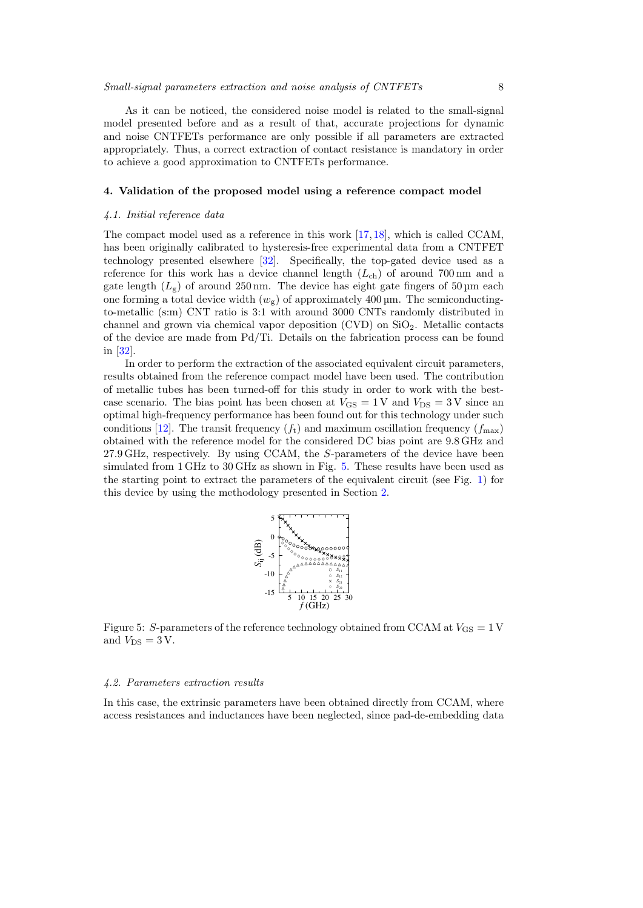## Small-signal parameters extraction and noise analysis of CNTFETs 8

As it can be noticed, the considered noise model is related to the small-signal model presented before and as a result of that, accurate projections for dynamic and noise CNTFETs performance are only possible if all parameters are extracted appropriately. Thus, a correct extraction of contact resistance is mandatory in order to achieve a good approximation to CNTFETs performance.

# <span id="page-7-0"></span>4. Validation of the proposed model using a reference compact model

## 4.1. Initial reference data

The compact model used as a reference in this work [\[17,](#page-14-13) [18\]](#page-14-14), which is called CCAM, has been originally calibrated to hysteresis-free experimental data from a CNTFET technology presented elsewhere [\[32\]](#page-15-11). Specifically, the top-gated device used as a reference for this work has a device channel length  $(L_{ch})$  of around 700 nm and a gate length  $(L_g)$  of around 250 nm. The device has eight gate fingers of 50 µm each one forming a total device width  $(w_g)$  of approximately 400 µm. The semiconductingto-metallic (s:m) CNT ratio is 3:1 with around 3000 CNTs randomly distributed in channel and grown via chemical vapor deposition  $(CVD)$  on  $SiO<sub>2</sub>$ . Metallic contacts of the device are made from Pd/Ti. Details on the fabrication process can be found in [\[32\]](#page-15-11).

In order to perform the extraction of the associated equivalent circuit parameters, results obtained from the reference compact model have been used. The contribution of metallic tubes has been turned-off for this study in order to work with the bestcase scenario. The bias point has been chosen at  $V_{\text{GS}} = 1 \,\text{V}$  and  $V_{\text{DS}} = 3 \,\text{V}$  since an optimal high-frequency performance has been found out for this technology under such conditions [\[12\]](#page-14-8). The transit frequency  $(f_t)$  and maximum oscillation frequency  $(f_{\text{max}})$ obtained with the reference model for the considered DC bias point are 9.8 GHz and 27.9 GHz, respectively. By using CCAM, the S-parameters of the device have been simulated from 1 GHz to 30 GHz as shown in Fig. [5.](#page-7-1) These results have been used as the starting point to extract the parameters of the equivalent circuit (see Fig. [1\)](#page-2-0) for this device by using the methodology presented in Section [2.](#page-1-0)



<span id="page-7-1"></span>Figure 5: S-parameters of the reference technology obtained from CCAM at  $V_{\text{GS}} = 1 \text{ V}$ and  $V_{\text{DS}} = 3 \text{ V}$ .

#### 4.2. Parameters extraction results

In this case, the extrinsic parameters have been obtained directly from CCAM, where access resistances and inductances have been neglected, since pad-de-embedding data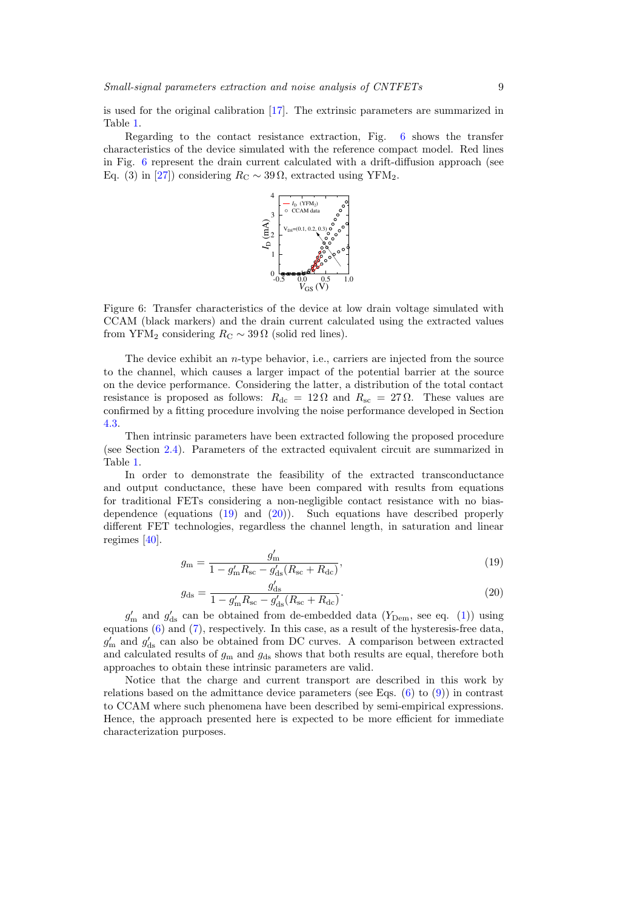is used for the original calibration [\[17\]](#page-14-13). The extrinsic parameters are summarized in Table [1.](#page-9-0)

<span id="page-8-0"></span>Regarding to the contact resistance extraction, Fig. [6](#page-8-0) shows the transfer characteristics of the device simulated with the reference compact model. Red lines in Fig. [6](#page-8-0) represent the drain current calculated with a drift-diffusion approach (see Eq. (3) in [\[27\]](#page-15-6)) considering  $R_C \sim 39 \Omega$ , extracted using YFM<sub>2</sub>.



Figure 6: Transfer characteristics of the device at low drain voltage simulated with CCAM (black markers) and the drain current calculated using the extracted values from YFM<sub>2</sub> considering  $R_C \sim 39 \Omega$  (solid red lines).

The device exhibit an  $n$ -type behavior, i.e., carriers are injected from the source to the channel, which causes a larger impact of the potential barrier at the source on the device performance. Considering the latter, a distribution of the total contact resistance is proposed as follows:  $R_{dc} = 12 \Omega$  and  $R_{sc} = 27 \Omega$ . These values are confirmed by a fitting procedure involving the noise performance developed in Section [4.3.](#page-9-1)

Then intrinsic parameters have been extracted following the proposed procedure (see Section [2.4\)](#page-4-3). Parameters of the extracted equivalent circuit are summarized in Table [1.](#page-9-0)

In order to demonstrate the feasibility of the extracted transconductance and output conductance, these have been compared with results from equations for traditional FETs considering a non-negligible contact resistance with no biasdependence (equations [\(19\)](#page-8-1) and [\(20\)](#page-8-2)). Such equations have described properly different FET technologies, regardless the channel length, in saturation and linear regimes [\[40\]](#page-15-18).

<span id="page-8-1"></span>
$$
g_{\rm m} = \frac{g'_{\rm m}}{1 - g'_{\rm m} R_{\rm sc} - g'_{\rm ds} (R_{\rm sc} + R_{\rm dc})},\tag{19}
$$

<span id="page-8-2"></span>
$$
g_{\rm ds} = \frac{g'_{\rm ds}}{1 - g'_{\rm m} R_{\rm sc} - g'_{\rm ds} (R_{\rm sc} + R_{\rm dc})}.
$$
 (20)

 $g'_{\rm m}$  and  $g'_{\rm ds}$  can be obtained from de-embedded data ( $Y_{\rm Dem}$ , see eq. [\(1\)](#page-3-0)) using equations [\(6\)](#page-4-1) and [\(7\)](#page-4-4), respectively. In this case, as a result of the hysteresis-free data,  $g'_{\rm m}$  and  $g'_{\rm ds}$  can also be obtained from DC curves. A comparison between extracted and calculated results of  $g<sub>m</sub>$  and  $g<sub>ds</sub>$  shows that both results are equal, therefore both approaches to obtain these intrinsic parameters are valid.

Notice that the charge and current transport are described in this work by relations based on the admittance device parameters (see Eqs.  $(6)$  to  $(9)$ ) in contrast to CCAM where such phenomena have been described by semi-empirical expressions. Hence, the approach presented here is expected to be more efficient for immediate characterization purposes.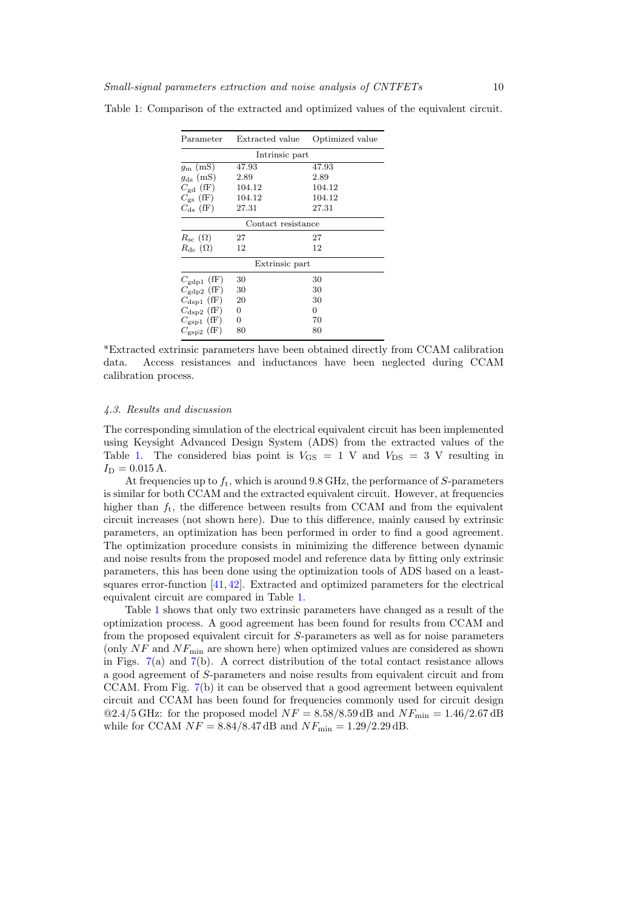| Parameter               | Extracted value | Optimized value |  |  |
|-------------------------|-----------------|-----------------|--|--|
| Intrinsic part          |                 |                 |  |  |
| $g_{\rm m}$ (mS)        | 47.93           | 47.93           |  |  |
| $g_{\text{ds}}$ (mS)    | 2.89            | 2.89            |  |  |
| $C_{\text{gd}}$ (fF)    | 104.12          | 104.12          |  |  |
| $C_{\rm gs}$ (fF)       | 104.12          | 104.12          |  |  |
| $C_{\rm ds}$ (fF)       | 27.31           | 27.31           |  |  |
| Contact resistance      |                 |                 |  |  |
| $R_{\rm sc}(\Omega)$    | 27              | 27              |  |  |
| $R_{\text{dc}}(\Omega)$ | 12              | 12              |  |  |
| Extrinsic part          |                 |                 |  |  |
| $C_{\rm gdp1}$ (fF)     | 30              | 30              |  |  |
| $C_{\rm gdp2}$ (fF)     | 30              | 30              |  |  |
| $C_{\rm dsp1}$ (fF)     | 20              | 30              |  |  |
| $C_{\rm{dsp2}}$ (fF)    | 0               | 0               |  |  |
| $C_{\rm gsp1}$ (fF)     | 0               | 70              |  |  |
| $C_{\text{crs}p2}$ (fF) | 80              | 80              |  |  |

<span id="page-9-0"></span>Table 1: Comparison of the extracted and optimized values of the equivalent circuit.

\*Extracted extrinsic parameters have been obtained directly from CCAM calibration data. Access resistances and inductances have been neglected during CCAM calibration process.

#### <span id="page-9-1"></span>4.3. Results and discussion

The corresponding simulation of the electrical equivalent circuit has been implemented using Keysight Advanced Design System (ADS) from the extracted values of the Table [1.](#page-9-0) The considered bias point is  $V_{\text{GS}} = 1$  V and  $V_{\text{DS}} = 3$  V resulting in  $I_D = 0.015$  A.

At frequencies up to  $f_t$ , which is around 9.8 GHz, the performance of S-parameters is similar for both CCAM and the extracted equivalent circuit. However, at frequencies higher than  $f_t$ , the difference between results from CCAM and from the equivalent circuit increases (not shown here). Due to this difference, mainly caused by extrinsic parameters, an optimization has been performed in order to find a good agreement. The optimization procedure consists in minimizing the difference between dynamic and noise results from the proposed model and reference data by fitting only extrinsic parameters, this has been done using the optimization tools of ADS based on a leastsquares error-function [\[41,](#page-15-19) [42\]](#page-15-20). Extracted and optimized parameters for the electrical equivalent circuit are compared in Table [1.](#page-9-0)

Table [1](#page-9-0) shows that only two extrinsic parameters have changed as a result of the optimization process. A good agreement has been found for results from CCAM and from the proposed equivalent circuit for S-parameters as well as for noise parameters (only  $NF$  and  $NF_{\text{min}}$  are shown here) when optimized values are considered as shown in Figs. [7\(](#page-10-1)a) and [7\(](#page-10-1)b). A correct distribution of the total contact resistance allows a good agreement of S-parameters and noise results from equivalent circuit and from CCAM. From Fig. [7\(](#page-10-1)b) it can be observed that a good agreement between equivalent circuit and CCAM has been found for frequencies commonly used for circuit design  $\mathcal{Q}2.4/5$  GHz: for the proposed model  $NF = 8.58/8.59$  dB and  $NF_{\text{min}} = 1.46/2.67$  dB while for CCAM  $NF = 8.84/8.47$  dB and  $NF_{\text{min}} = 1.29/2.29$  dB.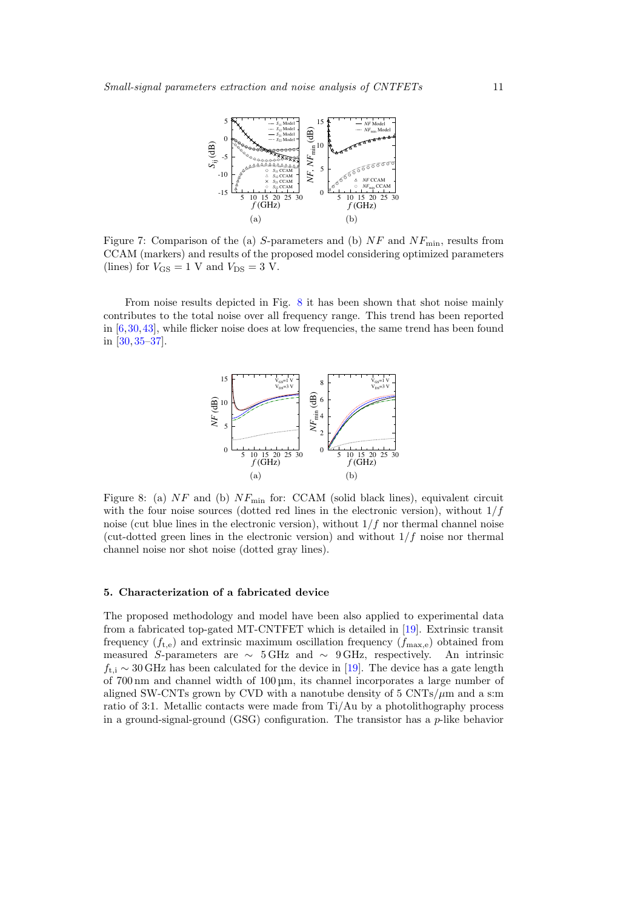<span id="page-10-1"></span>

Figure 7: Comparison of the (a) S-parameters and (b)  $NF$  and  $NF_{\text{min}}$ , results from CCAM (markers) and results of the proposed model considering optimized parameters (lines) for  $V_{\text{GS}} = 1$  V and  $V_{\text{DS}} = 3$  V.

<span id="page-10-2"></span>From noise results depicted in Fig. [8](#page-10-2) it has been shown that shot noise mainly contributes to the total noise over all frequency range. This trend has been reported in  $[6,30,43]$  $[6,30,43]$  $[6,30,43]$ , while flicker noise does at low frequencies, the same trend has been found in [\[30,](#page-15-9) [35](#page-15-14)[–37\]](#page-15-15).



Figure 8: (a)  $NF$  and (b)  $NF_{min}$  for: CCAM (solid black lines), equivalent circuit with the four noise sources (dotted red lines in the electronic version), without  $1/f$ noise (cut blue lines in the electronic version), without  $1/f$  nor thermal channel noise (cut-dotted green lines in the electronic version) and without  $1/f$  noise nor thermal channel noise nor shot noise (dotted gray lines).

#### <span id="page-10-0"></span>5. Characterization of a fabricated device

The proposed methodology and model have been also applied to experimental data from a fabricated top-gated MT-CNTFET which is detailed in [\[19\]](#page-14-15). Extrinsic transit frequency  $(f_{t,e})$  and extrinsic maximum oscillation frequency  $(f_{\text{max},e})$  obtained from measured S-parameters are  $\sim$  5 GHz and  $\sim$  9 GHz, respectively. An intrinsic  $f_{\text{t,i}} \sim 30 \text{ GHz}$  has been calculated for the device in [\[19\]](#page-14-15). The device has a gate length of 700 nm and channel width of 100 µm, its channel incorporates a large number of aligned SW-CNTs grown by CVD with a nanotube density of  $5 \text{ CNTs}/\mu \text{m}$  and a s:m ratio of 3:1. Metallic contacts were made from Ti/Au by a photolithography process in a ground-signal-ground  $(GSG)$  configuration. The transistor has a  $p$ -like behavior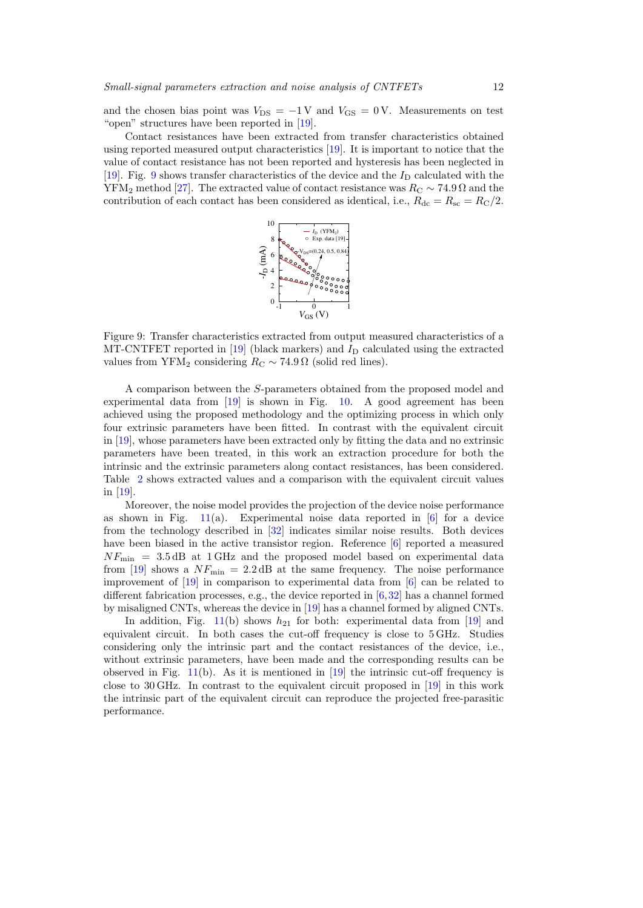and the chosen bias point was  $V_{DS} = -1$  V and  $V_{GS} = 0$  V. Measurements on test "open" structures have been reported in [\[19\]](#page-14-15).

<span id="page-11-0"></span>Contact resistances have been extracted from transfer characteristics obtained using reported measured output characteristics [\[19\]](#page-14-15). It is important to notice that the value of contact resistance has not been reported and hysteresis has been neglected in [\[19\]](#page-14-15). Fig. [9](#page-11-0) shows transfer characteristics of the device and the  $I_D$  calculated with the YFM<sub>2</sub> method [\[27\]](#page-15-6). The extracted value of contact resistance was  $R_C \sim 74.9 \Omega$  and the contribution of each contact has been considered as identical, i.e.,  $R_{\text{dc}} = R_{\text{sc}} = R_{\text{C}}/2$ .



Figure 9: Transfer characteristics extracted from output measured characteristics of a MT-CNTFET reported in [\[19\]](#page-14-15) (black markers) and  $I<sub>D</sub>$  calculated using the extracted values from YFM<sub>2</sub> considering  $R_C \sim 74.9 \Omega$  (solid red lines).

A comparison between the S-parameters obtained from the proposed model and experimental data from [\[19\]](#page-14-15) is shown in Fig. [10.](#page-12-1) A good agreement has been achieved using the proposed methodology and the optimizing process in which only four extrinsic parameters have been fitted. In contrast with the equivalent circuit in [\[19\]](#page-14-15), whose parameters have been extracted only by fitting the data and no extrinsic parameters have been treated, in this work an extraction procedure for both the intrinsic and the extrinsic parameters along contact resistances, has been considered. Table [2](#page-13-0) shows extracted values and a comparison with the equivalent circuit values in [\[19\]](#page-14-15).

Moreover, the noise model provides the projection of the device noise performance as shown in Fig.  $11(a)$  $11(a)$ . Experimental noise data reported in [\[6\]](#page-14-3) for a device from the technology described in [\[32\]](#page-15-11) indicates similar noise results. Both devices have been biased in the active transistor region. Reference [\[6\]](#page-14-3) reported a measured  $NF_{\text{min}}$  = 3.5 dB at 1 GHz and the proposed model based on experimental data from [\[19\]](#page-14-15) shows a  $NF_{\text{min}} = 2.2 \text{ dB}$  at the same frequency. The noise performance improvement of [\[19\]](#page-14-15) in comparison to experimental data from [\[6\]](#page-14-3) can be related to different fabrication processes, e.g., the device reported in [\[6,](#page-14-3)[32\]](#page-15-11) has a channel formed by misaligned CNTs, whereas the device in [\[19\]](#page-14-15) has a channel formed by aligned CNTs.

In addition, Fig. [11\(](#page-12-2)b) shows  $h_{21}$  for both: experimental data from [\[19\]](#page-14-15) and equivalent circuit. In both cases the cut-off frequency is close to 5 GHz. Studies considering only the intrinsic part and the contact resistances of the device, i.e., without extrinsic parameters, have been made and the corresponding results can be observed in Fig.  $11(b)$  $11(b)$ . As it is mentioned in [\[19\]](#page-14-15) the intrinsic cut-off frequency is close to 30 GHz. In contrast to the equivalent circuit proposed in [\[19\]](#page-14-15) in this work the intrinsic part of the equivalent circuit can reproduce the projected free-parasitic performance.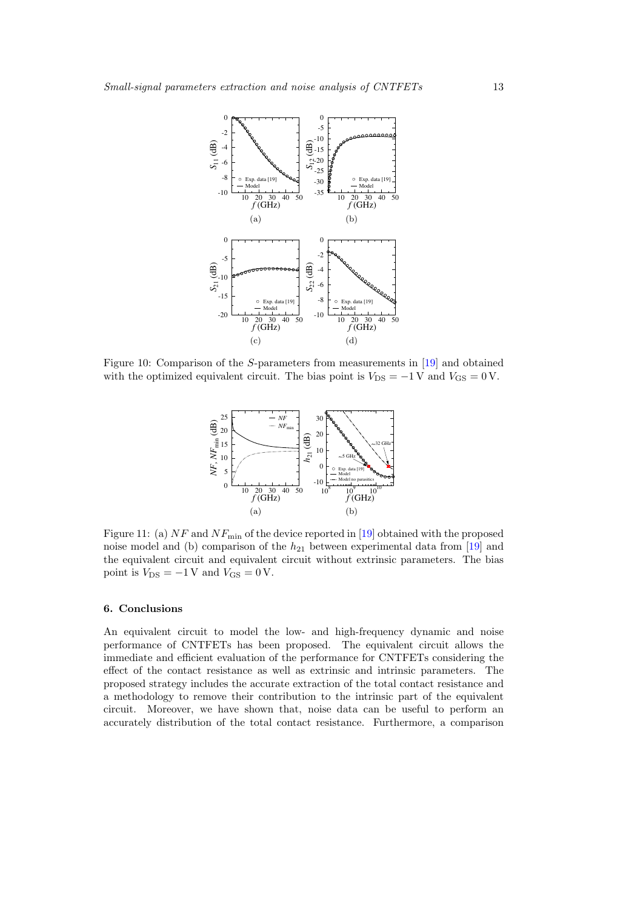<span id="page-12-1"></span>

<span id="page-12-2"></span>Figure 10: Comparison of the S-parameters from measurements in [\[19\]](#page-14-15) and obtained with the optimized equivalent circuit. The bias point is  $V_{DS} = -1$  V and  $V_{GS} = 0$  V.



Figure 11: (a)  $NF$  and  $NF$ <sub>min</sub> of the device reported in [\[19\]](#page-14-15) obtained with the proposed noise model and (b) comparison of the  $h_{21}$  between experimental data from [\[19\]](#page-14-15) and the equivalent circuit and equivalent circuit without extrinsic parameters. The bias point is  $V_{\text{DS}} = -1$  V and  $V_{\text{GS}} = 0$  V.

# <span id="page-12-0"></span>6. Conclusions

An equivalent circuit to model the low- and high-frequency dynamic and noise performance of CNTFETs has been proposed. The equivalent circuit allows the immediate and efficient evaluation of the performance for CNTFETs considering the effect of the contact resistance as well as extrinsic and intrinsic parameters. The proposed strategy includes the accurate extraction of the total contact resistance and a methodology to remove their contribution to the intrinsic part of the equivalent circuit. Moreover, we have shown that, noise data can be useful to perform an accurately distribution of the total contact resistance. Furthermore, a comparison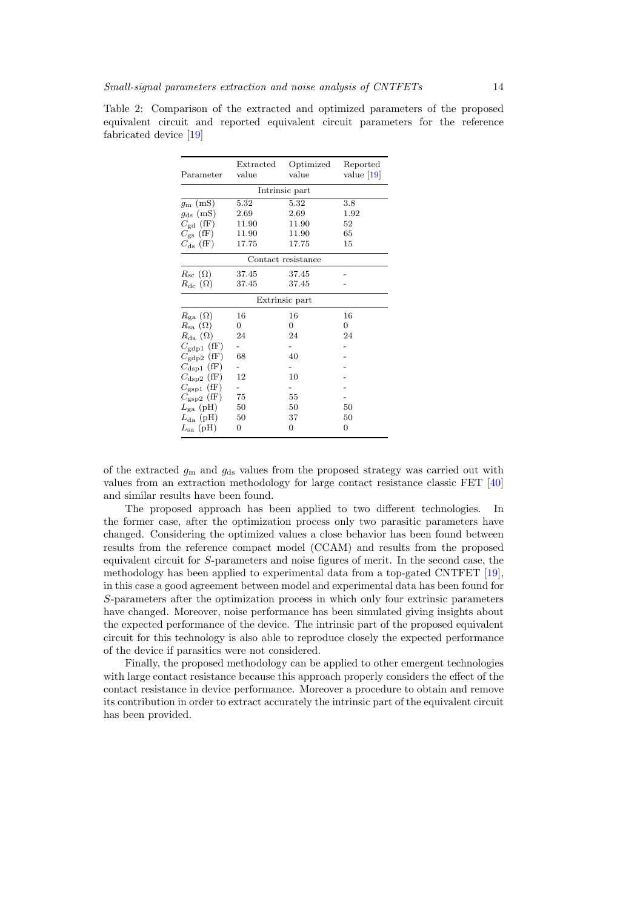| Parameter                          | Extracted<br>value | Optimized<br>value | Reported<br>value $ 19 $ |  |
|------------------------------------|--------------------|--------------------|--------------------------|--|
| Intrinsic part                     |                    |                    |                          |  |
| $g_{\rm m}~({\rm mS})$             | $5.32\,$           | 5.32               | 3.8                      |  |
| $g_{\text{ds}}$ (mS)               | 2.69               | 2.69               | 1.92                     |  |
| $C_{\text{gd}}$ (fF)               | 11.90              | 11.90              | 52                       |  |
| $C_{\rm gs}$ (fF)                  | 11.90              | 11.90              | 65                       |  |
| $C_{\rm ds}$ (fF)                  | 17.75              | 17.75              | 15                       |  |
| Contact resistance                 |                    |                    |                          |  |
| $R_{\rm sc}(\Omega)$               | 37.45              | 37.45              |                          |  |
| $R_{\text{dc}}\left(\Omega\right)$ | 37.45              | 37.45              |                          |  |
| Extrinsic part                     |                    |                    |                          |  |
| $R_{\rm ga}(\Omega)$               | 16                 | 16                 | 16                       |  |
| $R_{\mathrm{sa}}\ (\Omega)$        | 0                  | 0                  | $\overline{0}$           |  |
| $R_{\rm da}(\Omega)$               | 24                 | 24                 | 24                       |  |
| $C_{\rm gdp1}$ (fF)                |                    |                    |                          |  |
| $C_{\rm gdp2}$ (fF)                | 68                 | 40                 |                          |  |
| $C_{\rm dsp1}$ (fF)                |                    |                    |                          |  |
| $C_{\rm{dsp2}}$ (fF)               | 12                 | 10                 |                          |  |
| $C_{\rm gsp1}$ (fF)                |                    |                    |                          |  |
| $C_{\rm gsp2}$ (fF)                | 75                 | 55                 |                          |  |
| $L_{\rm ga}$ (pH)                  | 50                 | 50                 | 50                       |  |
| $L_{\text{da}}$ (pH)               | 50                 | 37                 | 50                       |  |
| $L_{\rm sa}~(\rm pH)$              | $\overline{0}$     | $\overline{0}$     | $\overline{0}$           |  |

<span id="page-13-0"></span>Table 2: Comparison of the extracted and optimized parameters of the proposed equivalent circuit and reported equivalent circuit parameters for the reference fabricated device [\[19\]](#page-14-15)

of the extracted  $g_m$  and  $g_{ds}$  values from the proposed strategy was carried out with values from an extraction methodology for large contact resistance classic FET [\[40\]](#page-15-18) and similar results have been found.

The proposed approach has been applied to two different technologies. In the former case, after the optimization process only two parasitic parameters have changed. Considering the optimized values a close behavior has been found between results from the reference compact model (CCAM) and results from the proposed equivalent circuit for S-parameters and noise figures of merit. In the second case, the methodology has been applied to experimental data from a top-gated CNTFET [\[19\]](#page-14-15), in this case a good agreement between model and experimental data has been found for S-parameters after the optimization process in which only four extrinsic parameters have changed. Moreover, noise performance has been simulated giving insights about the expected performance of the device. The intrinsic part of the proposed equivalent circuit for this technology is also able to reproduce closely the expected performance of the device if parasitics were not considered.

Finally, the proposed methodology can be applied to other emergent technologies with large contact resistance because this approach properly considers the effect of the contact resistance in device performance. Moreover a procedure to obtain and remove its contribution in order to extract accurately the intrinsic part of the equivalent circuit has been provided.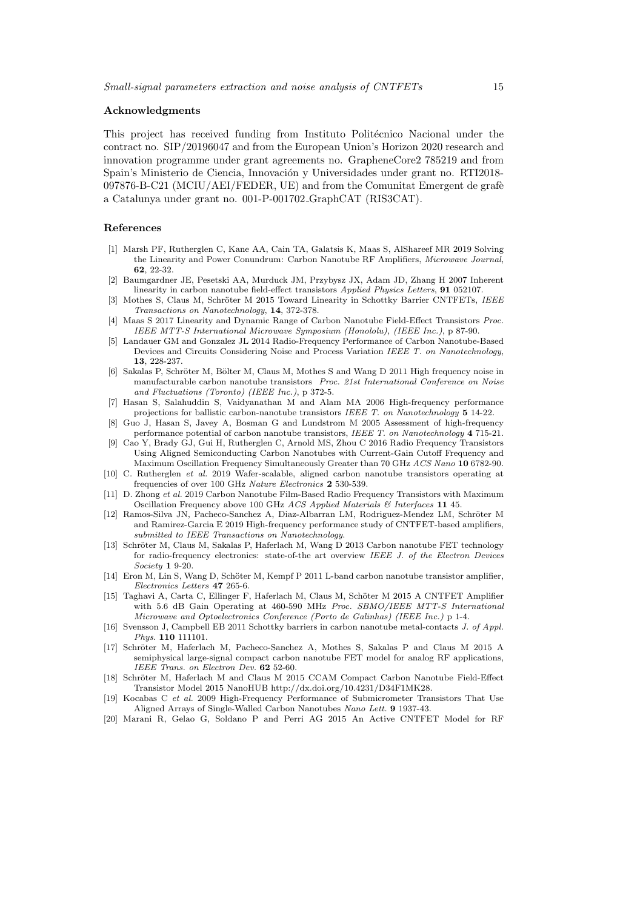## Acknowledgments

This project has received funding from Instituto Politécnico Nacional under the contract no. SIP/20196047 and from the European Union's Horizon 2020 research and innovation programme under grant agreements no. GrapheneCore2 785219 and from Spain's Ministerio de Ciencia, Innovación y Universidades under grant no. RTI2018- $097876-B-C21$  (MCIU/AEI/FEDER, UE) and from the Comunitat Emergent de grafè a Catalunya under grant no. 001-P-001702 GraphCAT (RIS3CAT).

# References

- <span id="page-14-0"></span>[1] Marsh PF, Rutherglen C, Kane AA, Cain TA, Galatsis K, Maas S, AlShareef MR 2019 Solving the Linearity and Power Conundrum: Carbon Nanotube RF Amplifiers, Microwave Journal, 62, 22-32.
- [2] Baumgardner JE, Pesetski AA, Murduck JM, Przybysz JX, Adam JD, Zhang H 2007 Inherent linearity in carbon nanotube field-effect transistors Applied Physics Letters, 91 052107.
- <span id="page-14-12"></span>[3] Mothes S, Claus M, Schröter M 2015 Toward Linearity in Schottky Barrier CNTFETs, IEEE Transactions on Nanotechnology, 14, 372-378.
- <span id="page-14-1"></span>[4] Maas S 2017 Linearity and Dynamic Range of Carbon Nanotube Field-Effect Transistors Proc. IEEE MTT-S International Microwave Symposium (Honololu), (IEEE Inc.), p 87-90.
- <span id="page-14-2"></span>[5] Landauer GM and Gonzalez JL 2014 Radio-Frequency Performance of Carbon Nanotube-Based Devices and Circuits Considering Noise and Process Variation IEEE T. on Nanotechnology, 13, 228-237.
- <span id="page-14-3"></span>[6] Sakalas P, Schröter M, Bölter M, Claus M, Mothes S and Wang D 2011 High frequency noise in manufacturable carbon nanotube transistors Proc. 21st International Conference on Noise and Fluctuations (Toronto) (IEEE Inc.), p 372-5.
- <span id="page-14-4"></span>[7] Hasan S, Salahuddin S, Vaidyanathan M and Alam MA 2006 High-frequency performance projections for ballistic carbon-nanotube transistors IEEE T. on Nanotechnology 5 14-22.
- <span id="page-14-5"></span>[8] Guo J, Hasan S, Javey A, Bosman G and Lundstrom M 2005 Assessment of high-frequency performance potential of carbon nanotube transistors, IEEE T. on Nanotechnology 4 715-21.
- <span id="page-14-6"></span>[9] Cao Y, Brady GJ, Gui H, Rutherglen C, Arnold MS, Zhou C 2016 Radio Frequency Transistors Using Aligned Semiconducting Carbon Nanotubes with Current-Gain Cutoff Frequency and Maximum Oscillation Frequency Simultaneously Greater than 70 GHz ACS Nano 10 6782-90.
- [10] C. Rutherglen et al. 2019 Wafer-scalable, aligned carbon nanotube transistors operating at frequencies of over 100 GHz Nature Electronics 2 530-539.
- <span id="page-14-7"></span>[11] D. Zhong et al. 2019 Carbon Nanotube Film-Based Radio Frequency Transistors with Maximum Oscillation Frequency above 100 GHz ACS Applied Materials & Interfaces 11 45.
- <span id="page-14-8"></span>[12] Ramos-Silva JN, Pacheco-Sanchez A, Diaz-Albarran LM, Rodriguez-Mendez LM, Schröter M and Ramirez-Garcia E 2019 High-frequency performance study of CNTFET-based amplifiers, submitted to IEEE Transactions on Nanotechnology.
- <span id="page-14-10"></span>[13] Schröter M, Claus M, Sakalas P, Haferlach M, Wang D 2013 Carbon nanotube FET technology for radio-frequency electronics: state-of-the art overview IEEE J. of the Electron Devices Society 1 9-20.
- [14] Eron M, Lin S, Wang D, Schöter M, Kempf P 2011 L-band carbon nanotube transistor amplifier, Electronics Letters 47 265-6.
- <span id="page-14-9"></span>[15] Taghavi A, Carta C, Ellinger F, Haferlach M, Claus M, Schöter M 2015 A CNTFET Amplifier with 5.6 dB Gain Operating at 460-590 MHz Proc. SBMO/IEEE MTT-S International Microwave and Optoelectronics Conference (Porto de Galinhas) (IEEE Inc.) p 1-4.
- <span id="page-14-11"></span>[16] Svensson J, Campbell EB 2011 Schottky barriers in carbon nanotube metal-contacts J. of Appl. Phys. 110 111101.
- <span id="page-14-13"></span>[17] Schröter M, Haferlach M, Pacheco-Sanchez A, Mothes S, Sakalas P and Claus M 2015 A semiphysical large-signal compact carbon nanotube FET model for analog RF applications, IEEE Trans. on Electron Dev. 62 52-60.
- <span id="page-14-14"></span>[18] Schröter M, Haferlach M and Claus M 2015 CCAM Compact Carbon Nanotube Field-Effect Transistor Model 2015 NanoHUB http://dx.doi.org/10.4231/D34F1MK28.
- <span id="page-14-15"></span>[19] Kocabas C et al. 2009 High-Frequency Performance of Submicrometer Transistors That Use Aligned Arrays of Single-Walled Carbon Nanotubes Nano Lett. 9 1937-43.
- [20] Marani R, Gelao G, Soldano P and Perri AG 2015 An Active CNTFET Model for RF